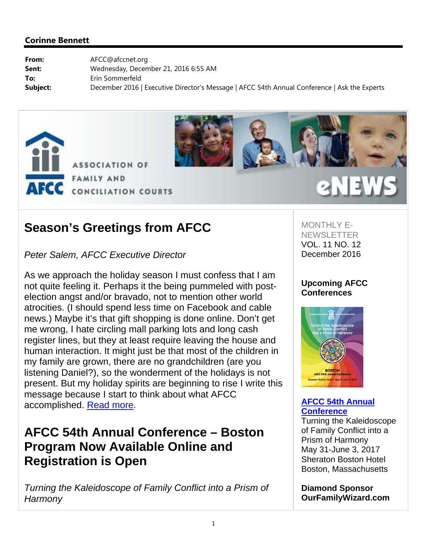



## **Season's Greetings from AFCC**

## *Peter Salem, AFCC Executive Director*

As we approach the holiday season I must confess that I am not quite feeling it. Perhaps it the being pummeled with postelection angst and/or bravado, not to mention other world atrocities. (I should spend less time on Facebook and cable news.) Maybe it's that gift shopping is done online. Don't get me wrong, I hate circling mall parking lots and long cash register lines, but they at least require leaving the house and human interaction. It might just be that most of the children in my family are grown, there are no grandchildren (are you listening Daniel?), so the wonderment of the holidays is not present. But my holiday spirits are beginning to rise I write this message because I start to think about what AFCC accomplished. Read more.

## **AFCC 54th Annual Conference – Boston Program Now Available Online and Registration is Open**

*Turning the Kaleidoscope of Family Conflict into a Prism of Harmony*

MONTHLY E-**NEWSLETTER** VOL. 11 NO. 12 December 2016

## **Upcoming AFCC Conferences**



## **AFCC 54th Annual Conference**

Turning the Kaleidoscope of Family Conflict into a Prism of Harmony May 31-June 3, 2017 Sheraton Boston Hotel Boston, Massachusetts

**Diamond Sponsor OurFamilyWizard.com**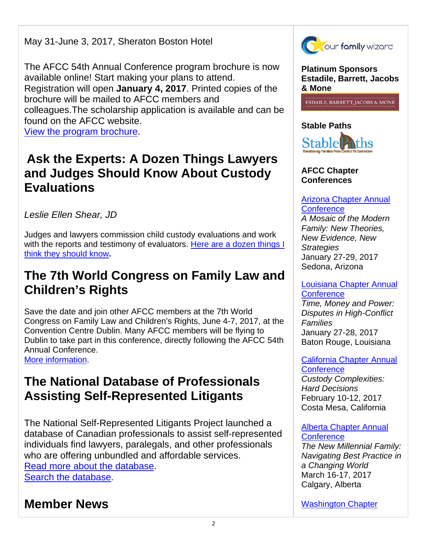May 31-June 3, 2017, Sheraton Boston Hotel

The AFCC 54th Annual Conference program brochure is now available online! Start making your plans to attend. Registration will open **January 4, 2017**. Printed copies of the brochure will be mailed to AFCC members and colleagues.The scholarship application is available and can be found on the AFCC website.

View the program brochure.

## **Ask the Experts: A Dozen Things Lawyers and Judges Should Know About Custody Evaluations**

*Leslie Ellen Shear, JD*

Judges and lawyers commission child custody evaluations and work with the reports and testimony of evaluators. Here are a dozen things I think they should know**.** 

## **The 7th World Congress on Family Law and Children's Rights**

Save the date and join other AFCC members at the 7th World Congress on Family Law and Children's Rights, June 4-7, 2017, at the Convention Centre Dublin. Many AFCC members will be flying to Dublin to take part in this conference, directly following the AFCC 54th Annual Conference.

More information.

## **The National Database of Professionals Assisting Self-Represented Litigants**

The National Self-Represented Litigants Project launched a database of Canadian professionals to assist self-represented individuals find lawyers, paralegals, and other professionals who are offering unbundled and affordable services. Read more about the database. Search the database.

## **Member News**



**Platinum Sponsors Estadile, Barrett, Jacobs & Mone** 

**ESDAILE, BARRETT, JACOBS & MONE** 

## **Stable Paths**



## **AFCC Chapter Conferences**

## Arizona Chapter Annual **Conference**

*A Mosaic of the Modern Family: New Theories, New Evidence, New Strategies* January 27-29, 2017 Sedona, Arizona

#### Louisiana Chapter Annual **Conference**

*Time, Money and Power: Disputes in High-Conflict Families* January 27-28, 2017 Baton Rouge, Louisiana

### California Chapter Annual **Conference**

*Custody Complexities: Hard Decisions* February 10-12, 2017 Costa Mesa, California

## Alberta Chapter Annual **Conference**

*The New Millennial Family: Navigating Best Practice in a Changing World*  March 16-17, 2017 Calgary, Alberta

Washington Chapter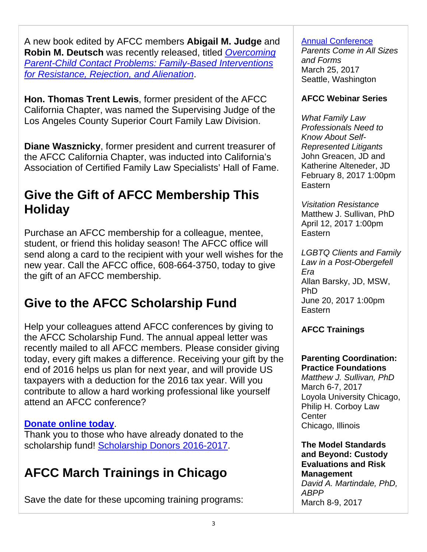A new book edited by AFCC members **Abigail M. Judge** and **Robin M. Deutsch** was recently released, titled *Overcoming Parent-Child Contact Problems: Family-Based Interventions for Resistance, Rejection, and Alienation*.

**Hon. Thomas Trent Lewis**, former president of the AFCC California Chapter, was named the Supervising Judge of the Los Angeles County Superior Court Family Law Division.

**Diane Wasznicky**, former president and current treasurer of the AFCC California Chapter, was inducted into California's Association of Certified Family Law Specialists' Hall of Fame.

## **Give the Gift of AFCC Membership This Holiday**

Purchase an AFCC membership for a colleague, mentee, student, or friend this holiday season! The AFCC office will send along a card to the recipient with your well wishes for the new year. Call the AFCC office, 608-664-3750, today to give the gift of an AFCC membership.

# **Give to the AFCC Scholarship Fund**

Help your colleagues attend AFCC conferences by giving to the AFCC Scholarship Fund. The annual appeal letter was recently mailed to all AFCC members. Please consider giving today, every gift makes a difference. Receiving your gift by the end of 2016 helps us plan for next year, and will provide US taxpayers with a deduction for the 2016 tax year. Will you contribute to allow a hard working professional like yourself attend an AFCC conference?

## **Donate online today**.

Thank you to those who have already donated to the scholarship fund! Scholarship Donors 2016-2017.

## **AFCC March Trainings in Chicago**

Save the date for these upcoming training programs:

### Annual Conference

*Parents Come in All Sizes and Forms*  March 25, 2017 Seattle, Washington

## **AFCC Webinar Series**

*What Family Law Professionals Need to Know About Self-Represented Litigants*  John Greacen, JD and Katherine Alteneder, JD February 8, 2017 1:00pm Eastern

*Visitation Resistance*  Matthew J. Sullivan, PhD April 12, 2017 1:00pm Eastern

*LGBTQ Clients and Family Law in a Post-Obergefell Era*  Allan Barsky, JD, MSW, PhD June 20, 2017 1:00pm Eastern

## **AFCC Trainings**

#### **Parenting Coordination: Practice Foundations**

*Matthew J. Sullivan, PhD* March 6-7, 2017 Loyola University Chicago, Philip H. Corboy Law **Center** Chicago, Illinois

**The Model Standards and Beyond: Custody Evaluations and Risk Management**  *David A. Martindale, PhD, ABPP* March 8-9, 2017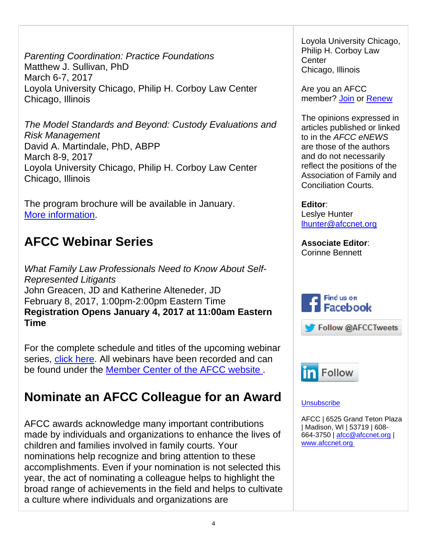*Parenting Coordination: Practice Foundations* Matthew J. Sullivan, PhD March 6-7, 2017 Loyola University Chicago, Philip H. Corboy Law Center Chicago, Illinois

*The Model Standards and Beyond: Custody Evaluations and Risk Management* David A. Martindale, PhD, ABPP March 8-9, 2017 Loyola University Chicago, Philip H. Corboy Law Center Chicago, Illinois

The program brochure will be available in January. More information.

# **AFCC Webinar Series**

*What Family Law Professionals Need to Know About Self-Represented Litigants* John Greacen, JD and Katherine Alteneder, JD February 8, 2017, 1:00pm-2:00pm Eastern Time **Registration Opens January 4, 2017 at 11:00am Eastern Time**

For the complete schedule and titles of the upcoming webinar series, click here. All webinars have been recorded and can be found under the Member Center of the AFCC website .

# **Nominate an AFCC Colleague for an Award**

AFCC awards acknowledge many important contributions made by individuals and organizations to enhance the lives of children and families involved in family courts. Your nominations help recognize and bring attention to these accomplishments. Even if your nomination is not selected this year, the act of nominating a colleague helps to highlight the broad range of achievements in the field and helps to cultivate a culture where individuals and organizations are

Loyola University Chicago, Philip H. Corboy Law **Center** Chicago, Illinois

Are you an AFCC member? Join or Renew

The opinions expressed in articles published or linked to in the *AFCC eNEWS* are those of the authors and do not necessarily reflect the positions of the Association of Family and Conciliation Courts.

**Editor**: Leslye Hunter lhunter@afccnet.org

**Associate Editor**: Corinne Bennett







### **Unsubscribe**

AFCC | 6525 Grand Teton Plaza | Madison, WI | 53719 | 608- 664-3750 | afcc@afccnet.org | www.afccnet.org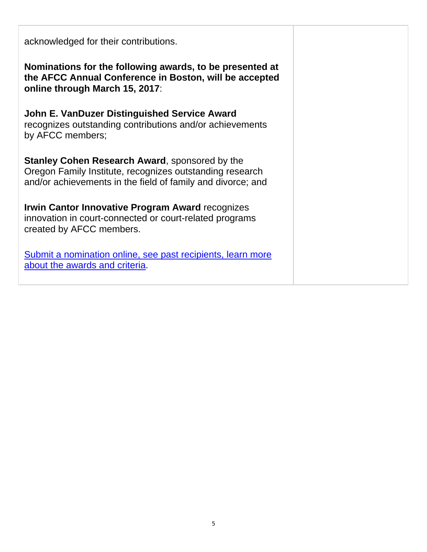| acknowledged for their contributions.                                                                                                                                            |  |
|----------------------------------------------------------------------------------------------------------------------------------------------------------------------------------|--|
| Nominations for the following awards, to be presented at<br>the AFCC Annual Conference in Boston, will be accepted<br>online through March 15, 2017:                             |  |
| <b>John E. VanDuzer Distinguished Service Award</b><br>recognizes outstanding contributions and/or achievements<br>by AFCC members;                                              |  |
| <b>Stanley Cohen Research Award, sponsored by the</b><br>Oregon Family Institute, recognizes outstanding research<br>and/or achievements in the field of family and divorce; and |  |
| <b>Irwin Cantor Innovative Program Award recognizes</b><br>innovation in court-connected or court-related programs<br>created by AFCC members.                                   |  |
| Submit a nomination online, see past recipients, learn more<br>about the awards and criteria.                                                                                    |  |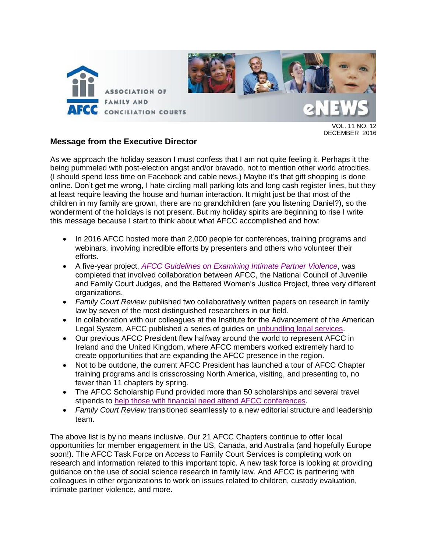

VOL. 11 NO. 12 DECEMBER 2016

### **Message from the Executive Director**

As we approach the holiday season I must confess that I am not quite feeling it. Perhaps it the being pummeled with post-election angst and/or bravado, not to mention other world atrocities. (I should spend less time on Facebook and cable news.) Maybe it's that gift shopping is done online. Don't get me wrong, I hate circling mall parking lots and long cash register lines, but they at least require leaving the house and human interaction. It might just be that most of the children in my family are grown, there are no grandchildren (are you listening Daniel?), so the wonderment of the holidays is not present. But my holiday spirits are beginning to rise I write this message because I start to think about what AFCC accomplished and how:

- In 2016 AFCC hosted more than 2,000 people for conferences, training programs and webinars, involving incredible efforts by presenters and others who volunteer their efforts.
- A five-year project, *[AFCC Guidelines on Examining Intimate Partner Violence](http://www.afccnet.org/Portals/0/Center%20for%20Excellance/Guidelines%20for%20Examining%20Intimate%20Partner%20Violence.pdf?ver=2016-05-16-183725-603)*, was completed that involved collaboration between AFCC, the National Council of Juvenile and Family Court Judges, and the Battered Women's Justice Project, three very different organizations.
- *Family Court Review* published two collaboratively written papers on research in family law by seven of the most distinguished researchers in our field.
- In collaboration with our colleagues at the Institute for the Advancement of the American Legal System, AFCC published a series of guides on [unbundling legal services.](http://www.afccnet.org/Resource-Center/Center-for-Excellence-in-Family-Court-Practice/ctl/ViewCommittee/CommitteeID/29/mid/495)
- Our previous AFCC President flew halfway around the world to represent AFCC in Ireland and the United Kingdom, where AFCC members worked extremely hard to create opportunities that are expanding the AFCC presence in the region.
- Not to be outdone, the current AFCC President has launched a tour of AFCC Chapter training programs and is crisscrossing North America, visiting, and presenting to, no fewer than 11 chapters by spring.
- The AFCC Scholarship Fund provided more than 50 scholarships and several travel stipends to [help those with financial need attend AFCC conferences.](http://afcc.networkats.com/members_online/members/donations.asp)
- *Family Court Review* transitioned seamlessly to a new editorial structure and leadership team.

The above list is by no means inclusive. Our 21 AFCC Chapters continue to offer local opportunities for member engagement in the US, Canada, and Australia (and hopefully Europe soon!). The AFCC Task Force on Access to Family Court Services is completing work on research and information related to this important topic. A new task force is looking at providing guidance on the use of social science research in family law. And AFCC is partnering with colleagues in other organizations to work on issues related to children, custody evaluation, intimate partner violence, and more.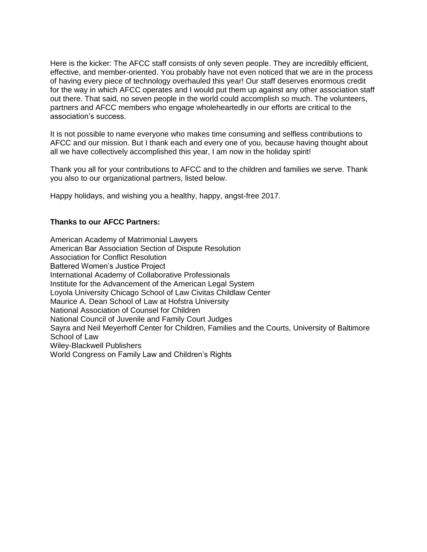Here is the kicker: The AFCC staff consists of only seven people. They are incredibly efficient, effective, and member-oriented. You probably have not even noticed that we are in the process of having every piece of technology overhauled this year! Our staff deserves enormous credit for the way in which AFCC operates and I would put them up against any other association staff out there. That said, no seven people in the world could accomplish so much. The volunteers, partners and AFCC members who engage wholeheartedly in our efforts are critical to the association's success.

It is not possible to name everyone who makes time consuming and selfless contributions to AFCC and our mission. But I thank each and every one of you, because having thought about all we have collectively accomplished this year, I am now in the holiday spirit!

Thank you all for your contributions to AFCC and to the children and families we serve. Thank you also to our organizational partners, listed below.

Happy holidays, and wishing you a healthy, happy, angst-free 2017.

#### **Thanks to our AFCC Partners:**

American Academy of Matrimonial Lawyers American Bar Association Section of Dispute Resolution Association for Conflict Resolution Battered Women's Justice Project International Academy of Collaborative Professionals Institute for the Advancement of the American Legal System Loyola University Chicago School of Law Civitas Childlaw Center Maurice A. Dean School of Law at Hofstra University National Association of Counsel for Children National Council of Juvenile and Family Court Judges Sayra and Neil Meyerhoff Center for Children, Families and the Courts, University of Baltimore School of Law Wiley-Blackwell Publishers World Congress on Family Law and Children's Rights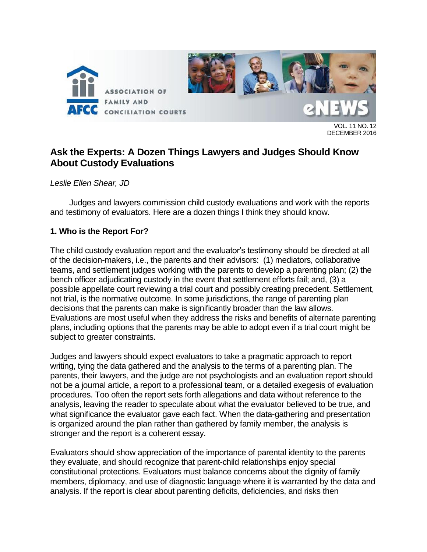

VOL. 11 NO. 12 DECEMBER 2016

## **Ask the Experts: A Dozen Things Lawyers and Judges Should Know About Custody Evaluations**

*Leslie Ellen Shear, JD*

Judges and lawyers commission child custody evaluations and work with the reports and testimony of evaluators. Here are a dozen things I think they should know.

## **1. Who is the Report For?**

The child custody evaluation report and the evaluator's testimony should be directed at all of the decision-makers, i.e., the parents and their advisors: (1) mediators, collaborative teams, and settlement judges working with the parents to develop a parenting plan; (2) the bench officer adjudicating custody in the event that settlement efforts fail; and, (3) a possible appellate court reviewing a trial court and possibly creating precedent. Settlement, not trial, is the normative outcome. In some jurisdictions, the range of parenting plan decisions that the parents can make is significantly broader than the law allows. Evaluations are most useful when they address the risks and benefits of alternate parenting plans, including options that the parents may be able to adopt even if a trial court might be subject to greater constraints.

Judges and lawyers should expect evaluators to take a pragmatic approach to report writing, tying the data gathered and the analysis to the terms of a parenting plan. The parents, their lawyers, and the judge are not psychologists and an evaluation report should not be a journal article, a report to a professional team, or a detailed exegesis of evaluation procedures. Too often the report sets forth allegations and data without reference to the analysis, leaving the reader to speculate about what the evaluator believed to be true, and what significance the evaluator gave each fact. When the data-gathering and presentation is organized around the plan rather than gathered by family member, the analysis is stronger and the report is a coherent essay.

Evaluators should show appreciation of the importance of parental identity to the parents they evaluate, and should recognize that parent-child relationships enjoy special constitutional protections. Evaluators must balance concerns about the dignity of family members, diplomacy, and use of diagnostic language where it is warranted by the data and analysis. If the report is clear about parenting deficits, deficiencies, and risks then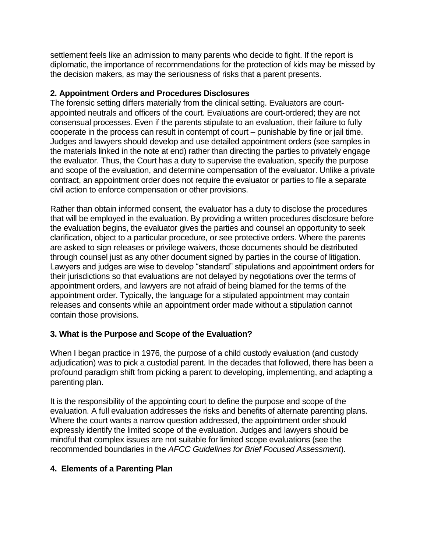settlement feels like an admission to many parents who decide to fight. If the report is diplomatic, the importance of recommendations for the protection of kids may be missed by the decision makers, as may the seriousness of risks that a parent presents.

### **2. Appointment Orders and Procedures Disclosures**

The forensic setting differs materially from the clinical setting. Evaluators are courtappointed neutrals and officers of the court. Evaluations are court-ordered; they are not consensual processes. Even if the parents stipulate to an evaluation, their failure to fully cooperate in the process can result in contempt of court – punishable by fine or jail time. Judges and lawyers should develop and use detailed appointment orders (see samples in the materials linked in the note at end) rather than directing the parties to privately engage the evaluator. Thus, the Court has a duty to supervise the evaluation, specify the purpose and scope of the evaluation, and determine compensation of the evaluator. Unlike a private contract, an appointment order does not require the evaluator or parties to file a separate civil action to enforce compensation or other provisions.

Rather than obtain informed consent, the evaluator has a duty to disclose the procedures that will be employed in the evaluation. By providing a written procedures disclosure before the evaluation begins, the evaluator gives the parties and counsel an opportunity to seek clarification, object to a particular procedure, or see protective orders. Where the parents are asked to sign releases or privilege waivers, those documents should be distributed through counsel just as any other document signed by parties in the course of litigation. Lawyers and judges are wise to develop "standard" stipulations and appointment orders for their jurisdictions so that evaluations are not delayed by negotiations over the terms of appointment orders, and lawyers are not afraid of being blamed for the terms of the appointment order. Typically, the language for a stipulated appointment may contain releases and consents while an appointment order made without a stipulation cannot contain those provisions.

## **3. What is the Purpose and Scope of the Evaluation?**

When I began practice in 1976, the purpose of a child custody evaluation (and custody adjudication) was to pick a custodial parent. In the decades that followed, there has been a profound paradigm shift from picking a parent to developing, implementing, and adapting a parenting plan.

It is the responsibility of the appointing court to define the purpose and scope of the evaluation. A full evaluation addresses the risks and benefits of alternate parenting plans. Where the court wants a narrow question addressed, the appointment order should expressly identify the limited scope of the evaluation. Judges and lawyers should be mindful that complex issues are not suitable for limited scope evaluations (see the recommended boundaries in the *AFCC Guidelines for Brief Focused Assessment*).

## **4. Elements of a Parenting Plan**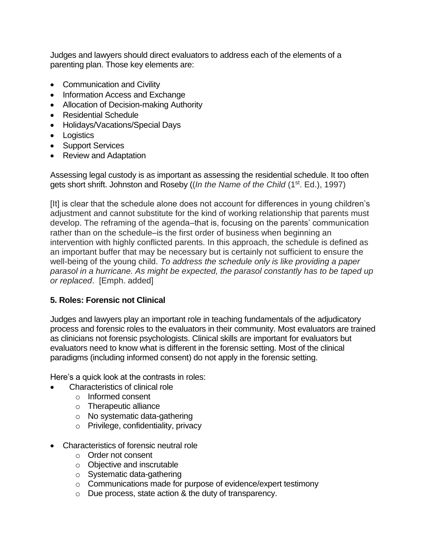Judges and lawyers should direct evaluators to address each of the elements of a parenting plan. Those key elements are:

- Communication and Civility
- Information Access and Exchange
- Allocation of Decision-making Authority
- Residential Schedule
- Holidays/Vacations/Special Days
- Logistics
- Support Services
- Review and Adaptation

Assessing legal custody is as important as assessing the residential schedule. It too often gets short shrift. Johnston and Roseby ((*In the Name of the Child* (1st. Ed.), 1997)

[It] is clear that the schedule alone does not account for differences in young children's adjustment and cannot substitute for the kind of working relationship that parents must develop. The reframing of the agenda–that is, focusing on the parents' communication rather than on the schedule–is the first order of business when beginning an intervention with highly conflicted parents. In this approach, the schedule is defined as an important buffer that may be necessary but is certainly not sufficient to ensure the well-being of the young child. *To address the schedule only is like providing a paper parasol in a hurricane. As might be expected, the parasol constantly has to be taped up or replaced*. [Emph. added]

## **5. Roles: Forensic not Clinical**

Judges and lawyers play an important role in teaching fundamentals of the adjudicatory process and forensic roles to the evaluators in their community. Most evaluators are trained as clinicians not forensic psychologists. Clinical skills are important for evaluators but evaluators need to know what is different in the forensic setting. Most of the clinical paradigms (including informed consent) do not apply in the forensic setting.

Here's a quick look at the contrasts in roles:

- Characteristics of clinical role
	- o Informed consent
	- o Therapeutic alliance
	- o No systematic data-gathering
	- o Privilege, confidentiality, privacy
- Characteristics of forensic neutral role
	- o Order not consent
	- o Objective and inscrutable
	- o Systematic data-gathering
	- o Communications made for purpose of evidence/expert testimony
	- o Due process, state action & the duty of transparency.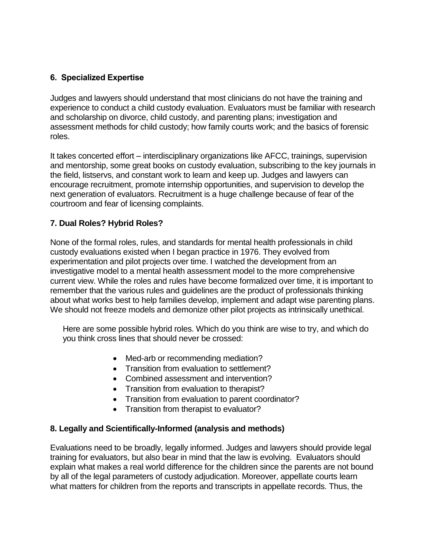## **6. Specialized Expertise**

Judges and lawyers should understand that most clinicians do not have the training and experience to conduct a child custody evaluation. Evaluators must be familiar with research and scholarship on divorce, child custody, and parenting plans; investigation and assessment methods for child custody; how family courts work; and the basics of forensic roles.

It takes concerted effort – interdisciplinary organizations like AFCC, trainings, supervision and mentorship, some great books on custody evaluation, subscribing to the key journals in the field, listservs, and constant work to learn and keep up. Judges and lawyers can encourage recruitment, promote internship opportunities, and supervision to develop the next generation of evaluators. Recruitment is a huge challenge because of fear of the courtroom and fear of licensing complaints.

## **7. Dual Roles? Hybrid Roles?**

None of the formal roles, rules, and standards for mental health professionals in child custody evaluations existed when I began practice in 1976. They evolved from experimentation and pilot projects over time. I watched the development from an investigative model to a mental health assessment model to the more comprehensive current view. While the roles and rules have become formalized over time, it is important to remember that the various rules and guidelines are the product of professionals thinking about what works best to help families develop, implement and adapt wise parenting plans. We should not freeze models and demonize other pilot projects as intrinsically unethical.

Here are some possible hybrid roles. Which do you think are wise to try, and which do you think cross lines that should never be crossed:

- Med-arb or recommending mediation?
- Transition from evaluation to settlement?
- Combined assessment and intervention?
- Transition from evaluation to therapist?
- Transition from evaluation to parent coordinator?
- Transition from therapist to evaluator?

## **8. Legally and Scientifically-Informed (analysis and methods)**

Evaluations need to be broadly, legally informed. Judges and lawyers should provide legal training for evaluators, but also bear in mind that the law is evolving. Evaluators should explain what makes a real world difference for the children since the parents are not bound by all of the legal parameters of custody adjudication. Moreover, appellate courts learn what matters for children from the reports and transcripts in appellate records. Thus, the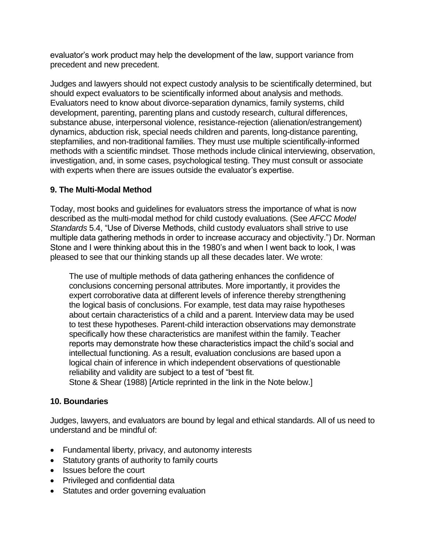evaluator's work product may help the development of the law, support variance from precedent and new precedent.

Judges and lawyers should not expect custody analysis to be scientifically determined, but should expect evaluators to be scientifically informed about analysis and methods. Evaluators need to know about divorce-separation dynamics, family systems, child development, parenting, parenting plans and custody research, cultural differences, substance abuse, interpersonal violence, resistance-rejection (alienation/estrangement) dynamics, abduction risk, special needs children and parents, long-distance parenting, stepfamilies, and non-traditional families. They must use multiple scientifically-informed methods with a scientific mindset. Those methods include clinical interviewing, observation, investigation, and, in some cases, psychological testing. They must consult or associate with experts when there are issues outside the evaluator's expertise.

## **9. The Multi-Modal Method**

Today, most books and guidelines for evaluators stress the importance of what is now described as the multi-modal method for child custody evaluations. (See *AFCC Model Standards* 5.4, "Use of Diverse Methods, child custody evaluators shall strive to use multiple data gathering methods in order to increase accuracy and objectivity.") Dr. Norman Stone and I were thinking about this in the 1980's and when I went back to look, I was pleased to see that our thinking stands up all these decades later. We wrote:

The use of multiple methods of data gathering enhances the confidence of conclusions concerning personal attributes. More importantly, it provides the expert corroborative data at different levels of inference thereby strengthening the logical basis of conclusions. For example, test data may raise hypotheses about certain characteristics of a child and a parent. Interview data may be used to test these hypotheses. Parent-child interaction observations may demonstrate specifically how these characteristics are manifest within the family. Teacher reports may demonstrate how these characteristics impact the child's social and intellectual functioning. As a result, evaluation conclusions are based upon a logical chain of inference in which independent observations of questionable reliability and validity are subject to a test of "best fit. Stone & Shear (1988) [Article reprinted in the link in the Note below.]

## **10. Boundaries**

Judges, lawyers, and evaluators are bound by legal and ethical standards. All of us need to understand and be mindful of:

- Fundamental liberty, privacy, and autonomy interests
- Statutory grants of authority to family courts
- Issues before the court
- Privileged and confidential data
- Statutes and order governing evaluation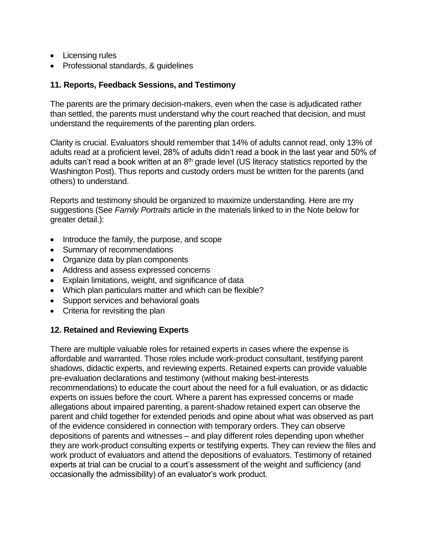- Licensing rules
- Professional standards, & guidelines

### **11. Reports, Feedback Sessions, and Testimony**

The parents are the primary decision-makers, even when the case is adjudicated rather than settled, the parents must understand why the court reached that decision, and must understand the requirements of the parenting plan orders.

Clarity is crucial. Evaluators should remember that 14% of adults cannot read, only 13% of adults read at a proficient level, 28% of adults didn't read a book in the last year and 50% of adults can't read a book written at an 8<sup>th</sup> grade level (US literacy statistics reported by the Washington Post). Thus reports and custody orders must be written for the parents (and others) to understand.

Reports and testimony should be organized to maximize understanding. Here are my suggestions (See *Family Portraits* article in the materials linked to in the Note below for greater detail.):

- Introduce the family, the purpose, and scope
- Summary of recommendations
- Organize data by plan components
- Address and assess expressed concerns
- Explain limitations, weight, and significance of data
- Which plan particulars matter and which can be flexible?
- Support services and behavioral goals
- Criteria for revisiting the plan

## **12. Retained and Reviewing Experts**

There are multiple valuable roles for retained experts in cases where the expense is affordable and warranted. Those roles include work-product consultant, testifying parent shadows, didactic experts, and reviewing experts. Retained experts can provide valuable pre-evaluation declarations and testimony (without making best-interests recommendations) to educate the court about the need for a full evaluation, or as didactic experts on issues before the court. Where a parent has expressed concerns or made allegations about impaired parenting, a parent-shadow retained expert can observe the parent and child together for extended periods and opine about what was observed as part of the evidence considered in connection with temporary orders. They can observe depositions of parents and witnesses – and play different roles depending upon whether they are work-product consulting experts or testifying experts. They can review the files and work product of evaluators and attend the depositions of evaluators. Testimony of retained experts at trial can be crucial to a court's assessment of the weight and sufficiency (and occasionally the admissibility) of an evaluator's work product.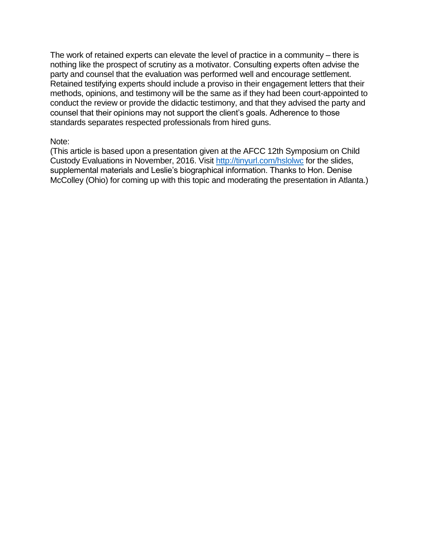The work of retained experts can elevate the level of practice in a community – there is nothing like the prospect of scrutiny as a motivator. Consulting experts often advise the party and counsel that the evaluation was performed well and encourage settlement. Retained testifying experts should include a proviso in their engagement letters that their methods, opinions, and testimony will be the same as if they had been court-appointed to conduct the review or provide the didactic testimony, and that they advised the party and counsel that their opinions may not support the client's goals. Adherence to those standards separates respected professionals from hired guns.

#### Note:

(This article is based upon a presentation given at the AFCC 12th Symposium on Child Custody Evaluations in November, 2016. Visit<http://tinyurl.com/hslolwc> for the slides, supplemental materials and Leslie's biographical information. Thanks to Hon. Denise McColley (Ohio) for coming up with this topic and moderating the presentation in Atlanta.)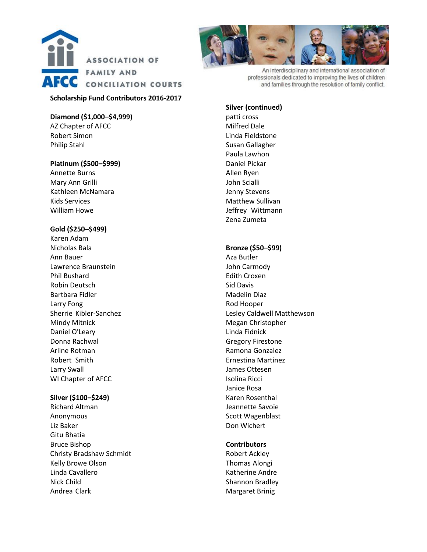

#### **Scholarship Fund Contributors 2016-2017**

#### **Diamond (\$1,000–\$4,999)**

AZ Chapter of AFCC Robert Simon Philip Stahl

#### **Platinum (\$500–\$999)**

Annette Burns Mary Ann Grilli Kathleen McNamara Kids Services William Howe

#### **Gold (\$250–\$499)**

Karen Adam Nicholas Bala Ann Bauer Lawrence Braunstein Phil Bushard Robin Deutsch Bartbara Fidler Larry Fong Sherrie Kibler-Sanchez Mindy Mitnick Daniel O'Leary Donna Rachwal Arline Rotman Robert Smith Larry Swall WI Chapter of AFCC

#### **Silver (\$100–\$249)**

Richard Altman Anonymous Liz Baker Gitu Bhatia Bruce Bishop Christy Bradshaw Schmidt Kelly Browe Olson Linda Cavallero Nick Child Andrea Clark



An interdisciplinary and international association of professionals dedicated to improving the lives of children and families through the resolution of family conflict.

#### **Silver (continued)**

patti cross Milfred Dale Linda Fieldstone Susan Gallagher Paula Lawhon Daniel Pickar Allen Ryen John Scialli Jenny Stevens Matthew Sullivan Jeffrey Wittmann Zena Zumeta

#### **Bronze (\$50–\$99)**

Aza Butler John Carmody Edith Croxen Sid Davis Madelin Diaz Rod Hooper Lesley Caldwell Matthewson Megan Christopher Linda Fidnick Gregory Firestone Ramona Gonzalez Ernestina Martinez James Ottesen Isolina Ricci Janice Rosa Karen Rosenthal Jeannette Savoie Scott Wagenblast Don Wichert

#### **Contributors**

Robert Ackley Thomas Alongi Katherine Andre Shannon Bradley Margaret Brinig